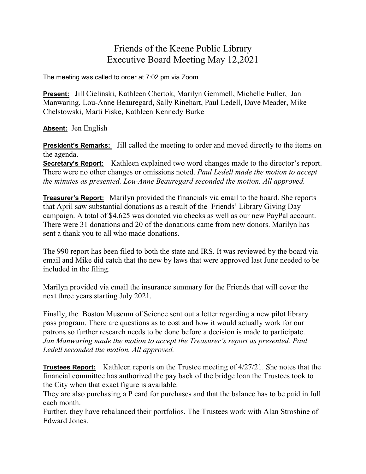## Friends of the Keene Public Library Executive Board Meeting May 12,2021

The meeting was called to order at 7:02 pm via Zoom

**Present:** Jill Cielinski, Kathleen Chertok, Marilyn Gemmell, Michelle Fuller, Jan Manwaring, Lou-Anne Beauregard, Sally Rinehart, Paul Ledell, Dave Meader, Mike Chelstowski, Marti Fiske, Kathleen Kennedy Burke

**Absent:** Jen English

**President's Remarks:** Jill called the meeting to order and moved directly to the items on the agenda.

**Secretary's Report:** Kathleen explained two word changes made to the director's report. There were no other changes or omissions noted. *Paul Ledell made the motion to accept the minutes as presented. Lou-Anne Beauregard seconded the motion. All approved.*

**Treasurer's Report:** Marilyn provided the financials via email to the board. She reports that April saw substantial donations as a result of the Friends' Library Giving Day campaign. A total of \$4,625 was donated via checks as well as our new PayPal account. There were 31 donations and 20 of the donations came from new donors. Marilyn has sent a thank you to all who made donations.

The 990 report has been filed to both the state and IRS. It was reviewed by the board via email and Mike did catch that the new by laws that were approved last June needed to be included in the filing.

Marilyn provided via email the insurance summary for the Friends that will cover the next three years starting July 2021.

Finally, the Boston Museum of Science sent out a letter regarding a new pilot library pass program. There are questions as to cost and how it would actually work for our patrons so further research needs to be done before a decision is made to participate. *Jan Manwaring made the motion to accept the Treasurer's report as presented. Paul Ledell seconded the motion. All approved.*

**Trustees Report:** Kathleen reports on the Trustee meeting of 4/27/21. She notes that the financial committee has authorized the pay back of the bridge loan the Trustees took to the City when that exact figure is available.

They are also purchasing a P card for purchases and that the balance has to be paid in full each month.

Further, they have rebalanced their portfolios. The Trustees work with Alan Stroshine of Edward Jones.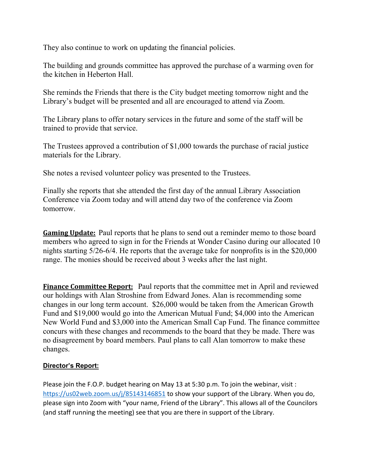They also continue to work on updating the financial policies.

The building and grounds committee has approved the purchase of a warming oven for the kitchen in Heberton Hall.

She reminds the Friends that there is the City budget meeting tomorrow night and the Library's budget will be presented and all are encouraged to attend via Zoom.

The Library plans to offer notary services in the future and some of the staff will be trained to provide that service.

The Trustees approved a contribution of \$1,000 towards the purchase of racial justice materials for the Library.

She notes a revised volunteer policy was presented to the Trustees.

Finally she reports that she attended the first day of the annual Library Association Conference via Zoom today and will attend day two of the conference via Zoom tomorrow.

**Gaming Update:** Paul reports that he plans to send out a reminder memo to those board members who agreed to sign in for the Friends at Wonder Casino during our allocated 10 nights starting 5/26-6/4. He reports that the average take for nonprofits is in the \$20,000 range. The monies should be received about 3 weeks after the last night.

**Finance Committee Report:** Paul reports that the committee met in April and reviewed our holdings with Alan Stroshine from Edward Jones. Alan is recommending some changes in our long term account. \$26,000 would be taken from the American Growth Fund and \$19,000 would go into the American Mutual Fund; \$4,000 into the American New World Fund and \$3,000 into the American Small Cap Fund. The finance committee concurs with these changes and recommends to the board that they be made. There was no disagreement by board members. Paul plans to call Alan tomorrow to make these changes.

## **Director's Report:**

Please join the F.O.P. budget hearing on May 13 at 5:30 p.m. To join the webinar, visit : <https://us02web.zoom.us/j/85143146851> to show your support of the Library. When you do, please sign into Zoom with "your name, Friend of the Library". This allows all of the Councilors (and staff running the meeting) see that you are there in support of the Library.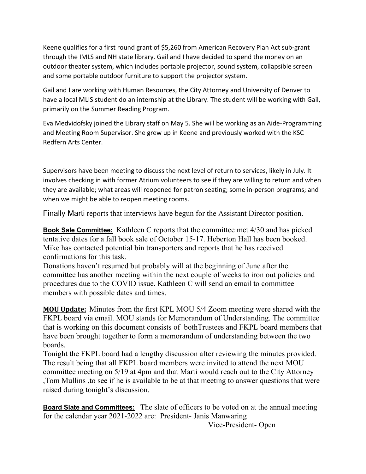Keene qualifies for a first round grant of \$5,260 from American Recovery Plan Act sub-grant through the IMLS and NH state library. Gail and I have decided to spend the money on an outdoor theater system, which includes portable projector, sound system, collapsible screen and some portable outdoor furniture to support the projector system.

Gail and I are working with Human Resources, the City Attorney and University of Denver to have a local MLIS student do an internship at the Library. The student will be working with Gail, primarily on the Summer Reading Program.

Eva Medvidofsky joined the Library staff on May 5. She will be working as an Aide-Programming and Meeting Room Supervisor. She grew up in Keene and previously worked with the KSC Redfern Arts Center.

Supervisors have been meeting to discuss the next level of return to services, likely in July. It involves checking in with former Atrium volunteers to see if they are willing to return and when they are available; what areas will reopened for patron seating; some in-person programs; and when we might be able to reopen meeting rooms.

Finally Marti reports that interviews have begun for the Assistant Director position.

**Book Sale Committee:** Kathleen C reports that the committee met 4/30 and has picked tentative dates for a fall book sale of October 15-17. Heberton Hall has been booked. Mike has contacted potential bin transporters and reports that he has received confirmations for this task.

Donations haven't resumed but probably will at the beginning of June after the committee has another meeting within the next couple of weeks to iron out policies and procedures due to the COVID issue. Kathleen C will send an email to committee members with possible dates and times.

**MOU Update:** Minutes from the first KPL MOU 5/4 Zoom meeting were shared with the FKPL board via email. MOU stands for Memorandum of Understanding. The committee that is working on this document consists of bothTrustees and FKPL board members that have been brought together to form a memorandum of understanding between the two boards.

Tonight the FKPL board had a lengthy discussion after reviewing the minutes provided. The result being that all FKPL board members were invited to attend the next MOU committee meeting on 5/19 at 4pm and that Marti would reach out to the City Attorney ,Tom Mullins ,to see if he is available to be at that meeting to answer questions that were raised during tonight's discussion.

**Board Slate and Committees:** The slate of officers to be voted on at the annual meeting for the calendar year 2021-2022 are: President- Janis Manwaring

Vice-President- Open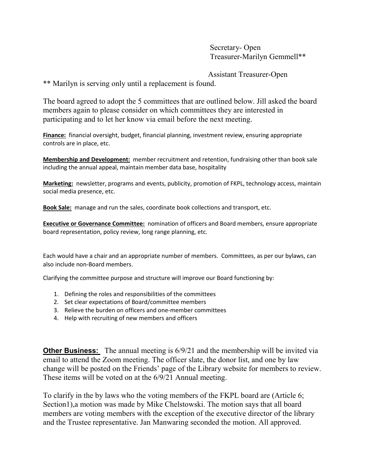Secretary- Open Treasurer-Marilyn Gemmell\*\*

Assistant Treasurer-Open

\*\* Marilyn is serving only until a replacement is found.

The board agreed to adopt the 5 committees that are outlined below. Jill asked the board members again to please consider on which committees they are interested in participating and to let her know via email before the next meeting.

**Finance:** financial oversight, budget, financial planning, investment review, ensuring appropriate controls are in place, etc.

**Membership and Development:** member recruitment and retention, fundraising other than book sale including the annual appeal, maintain member data base, hospitality

**Marketing:** newsletter, programs and events, publicity, promotion of FKPL, technology access, maintain social media presence, etc.

**Book Sale:** manage and run the sales, coordinate book collections and transport, etc.

**Executive or Governance Committee:** nomination of officers and Board members, ensure appropriate board representation, policy review, long range planning, etc.

Each would have a chair and an appropriate number of members. Committees, as per our bylaws, can also include non-Board members.

Clarifying the committee purpose and structure will improve our Board functioning by:

- 1. Defining the roles and responsibilities of the committees
- 2. Set clear expectations of Board/committee members
- 3. Relieve the burden on officers and one-member committees
- 4. Help with recruiting of new members and officers

**Other Business:** The annual meeting is 6/9/21 and the membership will be invited via email to attend the Zoom meeting. The officer slate, the donor list, and one by law change will be posted on the Friends' page of the Library website for members to review. These items will be voted on at the 6/9/21 Annual meeting.

To clarify in the by laws who the voting members of the FKPL board are (Article 6; Section1),a motion was made by Mike Chelstowski. The motion says that all board members are voting members with the exception of the executive director of the library and the Trustee representative. Jan Manwaring seconded the motion. All approved.